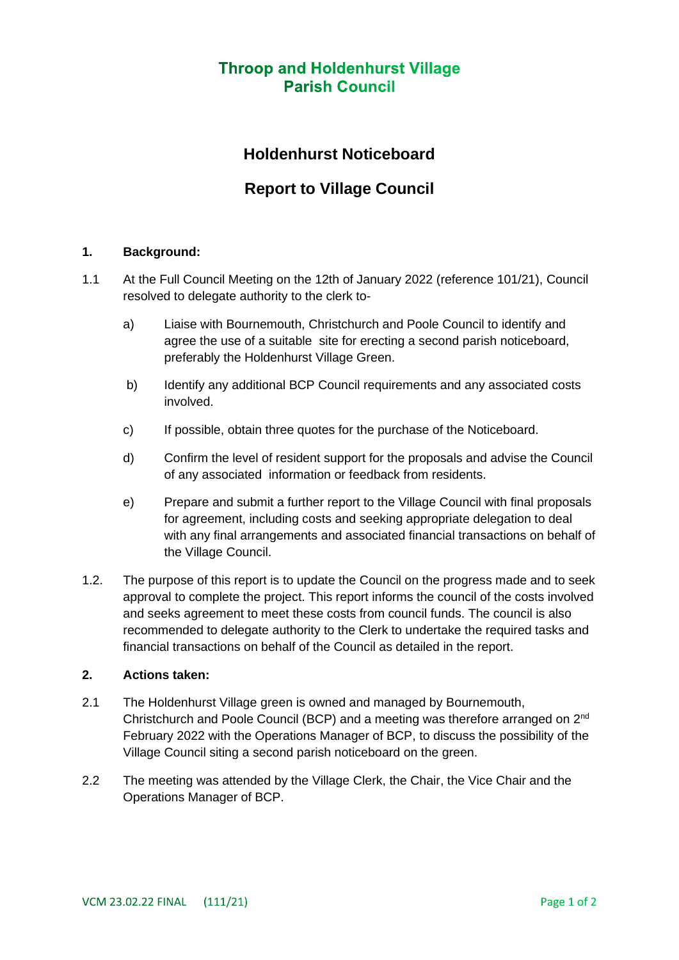# **Throop and Holdenhurst Village Parish Council**

# **Holdenhurst Noticeboard**

# **Report to Village Council**

### **1. Background:**

- 1.1 At the Full Council Meeting on the 12th of January 2022 (reference 101/21), Council resolved to delegate authority to the clerk to
	- a) Liaise with Bournemouth, Christchurch and Poole Council to identify and agree the use of a suitable site for erecting a second parish noticeboard, preferably the Holdenhurst Village Green.
	- b) Identify any additional BCP Council requirements and any associated costs involved.
	- c) If possible, obtain three quotes for the purchase of the Noticeboard.
	- d) Confirm the level of resident support for the proposals and advise the Council of any associated information or feedback from residents.
	- e) Prepare and submit a further report to the Village Council with final proposals for agreement, including costs and seeking appropriate delegation to deal with any final arrangements and associated financial transactions on behalf of the Village Council.
- 1.2. The purpose of this report is to update the Council on the progress made and to seek approval to complete the project. This report informs the council of the costs involved and seeks agreement to meet these costs from council funds. The council is also recommended to delegate authority to the Clerk to undertake the required tasks and financial transactions on behalf of the Council as detailed in the report.

#### **2. Actions taken:**

- 2.1 The Holdenhurst Village green is owned and managed by Bournemouth, Christchurch and Poole Council (BCP) and a meeting was therefore arranged on 2nd February 2022 with the Operations Manager of BCP, to discuss the possibility of the Village Council siting a second parish noticeboard on the green.
- 2.2 The meeting was attended by the Village Clerk, the Chair, the Vice Chair and the Operations Manager of BCP.